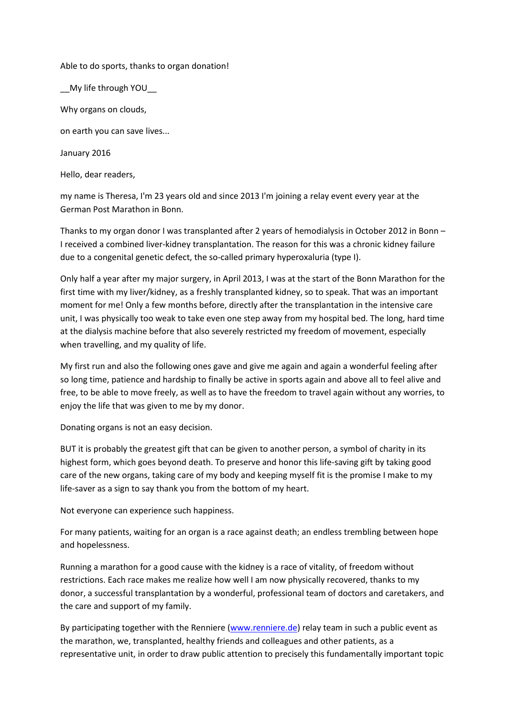## Able to do sports, thanks to organ donation!

\_\_My life through YOU\_\_

Why organs on clouds,

on earth you can save lives...

January 2016

Hello, dear readers,

my name is Theresa, I'm 23 years old and since 2013 I'm joining a relay event every year at the German Post Marathon in Bonn.

Thanks to my organ donor I was transplanted after 2 years of hemodialysis in October 2012 in Bonn – I received a combined liver-kidney transplantation. The reason for this was a chronic kidney failure due to a congenital genetic defect, the so-called primary hyperoxaluria (type I).

Only half a year after my major surgery, in April 2013, I was at the start of the Bonn Marathon for the first time with my liver/kidney, as a freshly transplanted kidney, so to speak. That was an important moment for me! Only a few months before, directly after the transplantation in the intensive care unit, I was physically too weak to take even one step away from my hospital bed. The long, hard time at the dialysis machine before that also severely restricted my freedom of movement, especially when travelling, and my quality of life.

My first run and also the following ones gave and give me again and again a wonderful feeling after so long time, patience and hardship to finally be active in sports again and above all to feel alive and free, to be able to move freely, as well as to have the freedom to travel again without any worries, to enjoy the life that was given to me by my donor.

Donating organs is not an easy decision.

BUT it is probably the greatest gift that can be given to another person, a symbol of charity in its highest form, which goes beyond death. To preserve and honor this life-saving gift by taking good care of the new organs, taking care of my body and keeping myself fit is the promise I make to my life-saver as a sign to say thank you from the bottom of my heart.

Not everyone can experience such happiness.

For many patients, waiting for an organ is a race against death; an endless trembling between hope and hopelessness.

Running a marathon for a good cause with the kidney is a race of vitality, of freedom without restrictions. Each race makes me realize how well I am now physically recovered, thanks to my donor, a successful transplantation by a wonderful, professional team of doctors and caretakers, and the care and support of my family.

By participating together with the Renniere [\(www.renniere.de\)](http://www.renniere.de/) relay team in such a public event as the marathon, we, transplanted, healthy friends and colleagues and other patients, as a representative unit, in order to draw public attention to precisely this fundamentally important topic